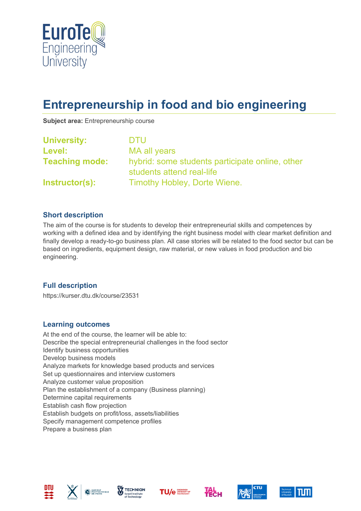

# **Entrepreneurship in food and bio engineering**

**Subject area:** Entrepreneurship course

| <b>University:</b>    | <b>DTU</b>                                                                   |  |
|-----------------------|------------------------------------------------------------------------------|--|
| Level:                | MA all years                                                                 |  |
| <b>Teaching mode:</b> | hybrid: some students participate online, other<br>students attend real-life |  |
| Instructor(s):        | Timothy Hobley, Dorte Wiene.                                                 |  |

#### **Short description**

The aim of the course is for students to develop their entrepreneurial skills and competences by working with a defined idea and by identifying the right business model with clear market definition and finally develop a ready-to-go business plan. All case stories will be related to the food sector but can be based on ingredients, equipment design, raw material, or new values in food production and bio engineering.

## **Full description**

https://kurser.dtu.dk/course/23531

#### **Learning outcomes**

At the end of the course, the learner will be able to: Describe the special entrepreneurial challenges in the food sector Identify business opportunities Develop business models Analyze markets for knowledge based products and services Set up questionnaires and interview customers Analyze customer value proposition Plan the establishment of a company (Business planning) Determine capital requirements Establish cash flow projection Establish budgets on profit/loss, assets/liabilities Specify management competence profiles Prepare a business plan











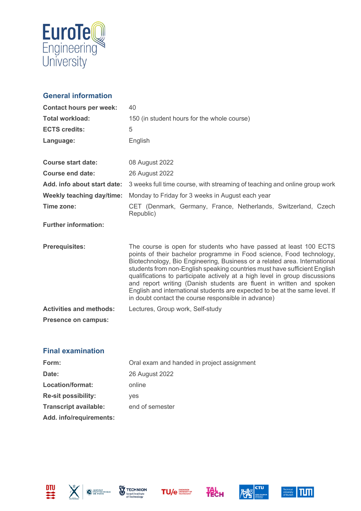

# **General information**

| <b>Contact hours per week:</b> | 40                                                                                                                                                                                                                                                                                                                                                                                                                                                                                                                                                                                               |  |
|--------------------------------|--------------------------------------------------------------------------------------------------------------------------------------------------------------------------------------------------------------------------------------------------------------------------------------------------------------------------------------------------------------------------------------------------------------------------------------------------------------------------------------------------------------------------------------------------------------------------------------------------|--|
| <b>Total workload:</b>         | 150 (in student hours for the whole course)                                                                                                                                                                                                                                                                                                                                                                                                                                                                                                                                                      |  |
| <b>ECTS credits:</b>           | 5                                                                                                                                                                                                                                                                                                                                                                                                                                                                                                                                                                                                |  |
| Language:                      | English                                                                                                                                                                                                                                                                                                                                                                                                                                                                                                                                                                                          |  |
| <b>Course start date:</b>      | 08 August 2022                                                                                                                                                                                                                                                                                                                                                                                                                                                                                                                                                                                   |  |
| Course end date:               | 26 August 2022                                                                                                                                                                                                                                                                                                                                                                                                                                                                                                                                                                                   |  |
| Add. info about start date:    | 3 weeks full time course, with streaming of teaching and online group work                                                                                                                                                                                                                                                                                                                                                                                                                                                                                                                       |  |
| Weekly teaching day/time:      | Monday to Friday for 3 weeks in August each year                                                                                                                                                                                                                                                                                                                                                                                                                                                                                                                                                 |  |
| Time zone:                     | CET (Denmark, Germany, France, Netherlands, Switzerland, Czech<br>Republic)                                                                                                                                                                                                                                                                                                                                                                                                                                                                                                                      |  |
| <b>Further information:</b>    |                                                                                                                                                                                                                                                                                                                                                                                                                                                                                                                                                                                                  |  |
| <b>Prerequisites:</b>          | The course is open for students who have passed at least 100 ECTS<br>points of their bachelor programme in Food science, Food technology,<br>Biotechnology, Bio Engineering, Business or a related area. International<br>students from non-English speaking countries must have sufficient English<br>qualifications to participate actively at a high level in group discussions<br>and report writing (Danish students are fluent in written and spoken<br>English and international students are expected to be at the same level. If<br>in doubt contact the course responsible in advance) |  |
| <b>Activities and methods:</b> | Lectures, Group work, Self-study                                                                                                                                                                                                                                                                                                                                                                                                                                                                                                                                                                 |  |
| <b>Presence on campus:</b>     |                                                                                                                                                                                                                                                                                                                                                                                                                                                                                                                                                                                                  |  |

## **Final examination**

| Oral exam and handed in project assignment |  |
|--------------------------------------------|--|
| 26 August 2022                             |  |
| online                                     |  |
| ves                                        |  |
| end of semester                            |  |
|                                            |  |
|                                            |  |